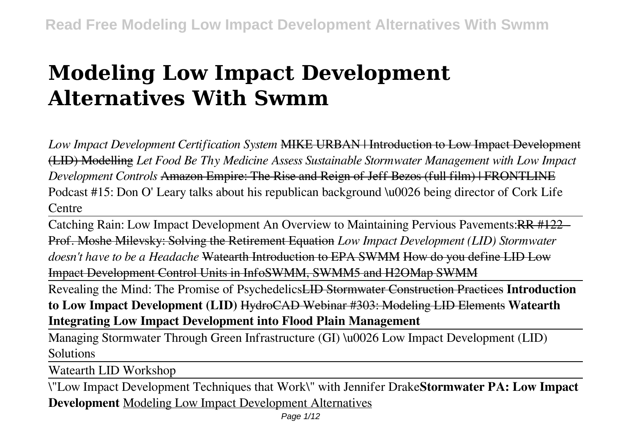# **Modeling Low Impact Development Alternatives With Swmm**

*Low Impact Development Certification System* MIKE URBAN | Introduction to Low Impact Development (LID) Modelling *Let Food Be Thy Medicine Assess Sustainable Stormwater Management with Low Impact Development Controls* Amazon Empire: The Rise and Reign of Jeff Bezos (full film) | FRONTLINE Podcast #15: Don O' Leary talks about his republican background \u0026 being director of Cork Life Centre

Catching Rain: Low Impact Development An Overview to Maintaining Pervious Pavements: RR #122 -Prof. Moshe Milevsky: Solving the Retirement Equation *Low Impact Development (LID) Stormwater doesn't have to be a Headache* Watearth Introduction to EPA SWMM How do you define LID Low Impact Development Control Units in InfoSWMM, SWMM5 and H2OMap SWMM

Revealing the Mind: The Promise of PsychedelicsLID Stormwater Construction Practices **Introduction to Low Impact Development (LID)** HydroCAD Webinar #303: Modeling LID Elements **Watearth Integrating Low Impact Development into Flood Plain Management**

Managing Stormwater Through Green Infrastructure (GI) \u0026 Low Impact Development (LID) Solutions

Watearth LID Workshop

\"Low Impact Development Techniques that Work\" with Jennifer Drake**Stormwater PA: Low Impact Development** Modeling Low Impact Development Alternatives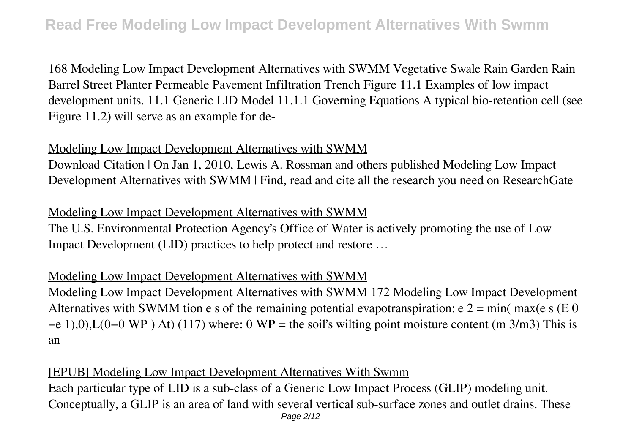168 Modeling Low Impact Development Alternatives with SWMM Vegetative Swale Rain Garden Rain Barrel Street Planter Permeable Pavement Infiltration Trench Figure 11.1 Examples of low impact development units. 11.1 Generic LID Model 11.1.1 Governing Equations A typical bio-retention cell (see Figure 11.2) will serve as an example for de-

#### Modeling Low Impact Development Alternatives with SWMM

Download Citation | On Jan 1, 2010, Lewis A. Rossman and others published Modeling Low Impact Development Alternatives with SWMM | Find, read and cite all the research you need on ResearchGate

# Modeling Low Impact Development Alternatives with SWMM

The U.S. Environmental Protection Agency's Office of Water is actively promoting the use of Low Impact Development (LID) practices to help protect and restore …

#### Modeling Low Impact Development Alternatives with SWMM

Modeling Low Impact Development Alternatives with SWMM 172 Modeling Low Impact Development Alternatives with SWMM tion e s of the remaining potential evapotranspiration:  $e = 2 = \min(\max(e \mid s \in 0))$  $-e$  1),0),L( $\theta$ – $\theta$  WP)  $\Delta t$ ) (117) where:  $\theta$  WP = the soil's wilting point moisture content (m 3/m3) This is an

#### [EPUB] Modeling Low Impact Development Alternatives With Swmm

Each particular type of LID is a sub-class of a Generic Low Impact Process (GLIP) modeling unit. Conceptually, a GLIP is an area of land with several vertical sub-surface zones and outlet drains. These Page 2/12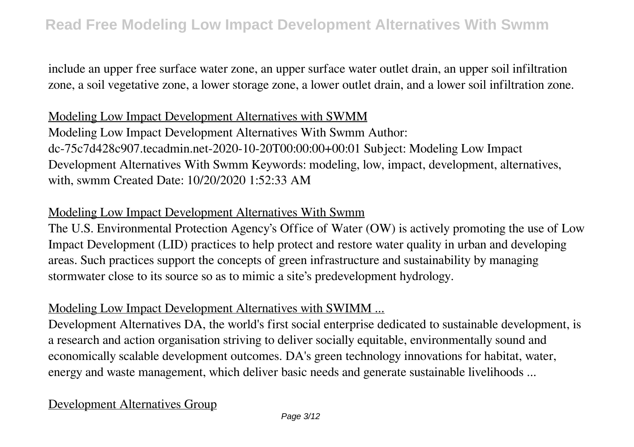include an upper free surface water zone, an upper surface water outlet drain, an upper soil infiltration zone, a soil vegetative zone, a lower storage zone, a lower outlet drain, and a lower soil infiltration zone.

## Modeling Low Impact Development Alternatives with SWMM

Modeling Low Impact Development Alternatives With Swmm Author: dc-75c7d428c907.tecadmin.net-2020-10-20T00:00:00+00:01 Subject: Modeling Low Impact Development Alternatives With Swmm Keywords: modeling, low, impact, development, alternatives, with, swmm Created Date: 10/20/2020 1:52:33 AM

#### Modeling Low Impact Development Alternatives With Swmm

The U.S. Environmental Protection Agency's Office of Water (OW) is actively promoting the use of Low Impact Development (LID) practices to help protect and restore water quality in urban and developing areas. Such practices support the concepts of green infrastructure and sustainability by managing stormwater close to its source so as to mimic a site's predevelopment hydrology.

#### Modeling Low Impact Development Alternatives with SWIMM ...

Development Alternatives DA, the world's first social enterprise dedicated to sustainable development, is a research and action organisation striving to deliver socially equitable, environmentally sound and economically scalable development outcomes. DA's green technology innovations for habitat, water, energy and waste management, which deliver basic needs and generate sustainable livelihoods ...

# Development Alternatives Group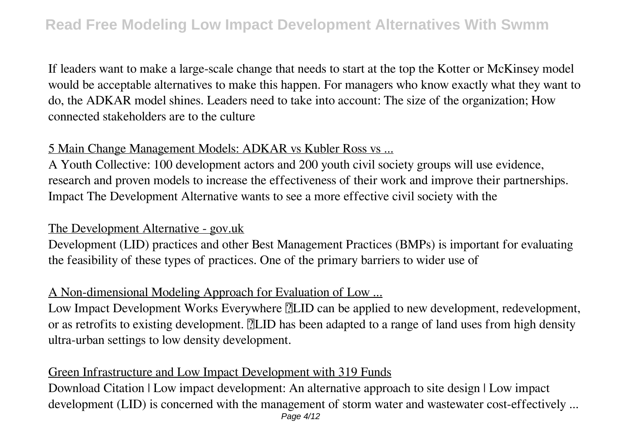If leaders want to make a large-scale change that needs to start at the top the Kotter or McKinsey model would be acceptable alternatives to make this happen. For managers who know exactly what they want to do, the ADKAR model shines. Leaders need to take into account: The size of the organization; How connected stakeholders are to the culture

#### 5 Main Change Management Models: ADKAR vs Kubler Ross vs ...

A Youth Collective: 100 development actors and 200 youth civil society groups will use evidence, research and proven models to increase the effectiveness of their work and improve their partnerships. Impact The Development Alternative wants to see a more effective civil society with the

#### The Development Alternative - gov.uk

Development (LID) practices and other Best Management Practices (BMPs) is important for evaluating the feasibility of these types of practices. One of the primary barriers to wider use of

#### A Non-dimensional Modeling Approach for Evaluation of Low ...

Low Impact Development Works Everywhere **[2**] LID can be applied to new development, redevelopment, or as retrofits to existing development. **The state of a** range of land uses from high density ultra-urban settings to low density development.

# Green Infrastructure and Low Impact Development with 319 Funds

Download Citation | Low impact development: An alternative approach to site design | Low impact development (LID) is concerned with the management of storm water and wastewater cost-effectively ...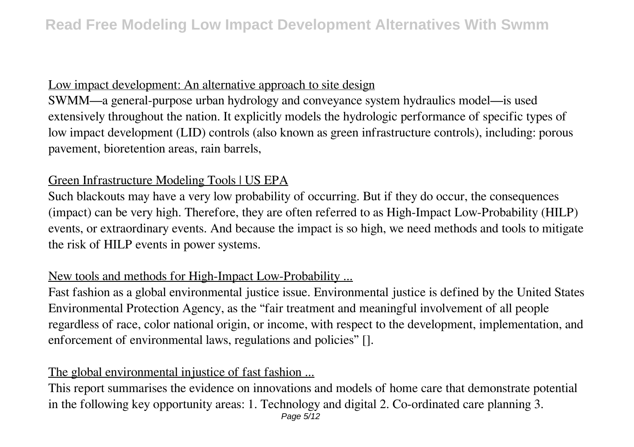## Low impact development: An alternative approach to site design

SWMM—a general-purpose urban hydrology and conveyance system hydraulics model—is used extensively throughout the nation. It explicitly models the hydrologic performance of specific types of low impact development (LID) controls (also known as green infrastructure controls), including: porous pavement, bioretention areas, rain barrels,

# Green Infrastructure Modeling Tools | US EPA

Such blackouts may have a very low probability of occurring. But if they do occur, the consequences (impact) can be very high. Therefore, they are often referred to as High-Impact Low-Probability (HILP) events, or extraordinary events. And because the impact is so high, we need methods and tools to mitigate the risk of HILP events in power systems.

# New tools and methods for High-Impact Low-Probability ...

Fast fashion as a global environmental justice issue. Environmental justice is defined by the United States Environmental Protection Agency, as the "fair treatment and meaningful involvement of all people regardless of race, color national origin, or income, with respect to the development, implementation, and enforcement of environmental laws, regulations and policies" [].

# The global environmental injustice of fast fashion ...

This report summarises the evidence on innovations and models of home care that demonstrate potential in the following key opportunity areas: 1. Technology and digital 2. Co-ordinated care planning 3.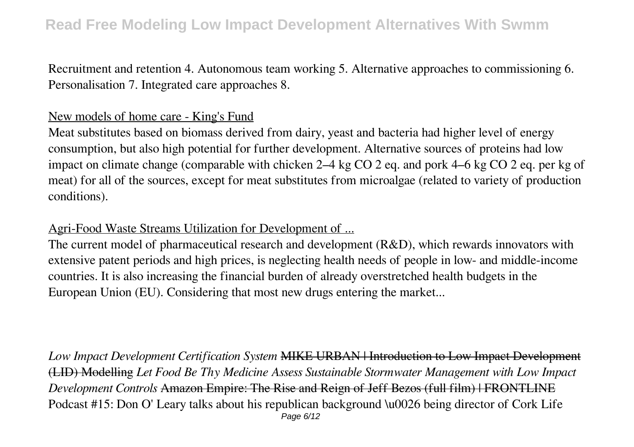Recruitment and retention 4. Autonomous team working 5. Alternative approaches to commissioning 6. Personalisation 7. Integrated care approaches 8.

## New models of home care - King's Fund

Meat substitutes based on biomass derived from dairy, yeast and bacteria had higher level of energy consumption, but also high potential for further development. Alternative sources of proteins had low impact on climate change (comparable with chicken 2–4 kg CO 2 eq. and pork 4–6 kg CO 2 eq. per kg of meat) for all of the sources, except for meat substitutes from microalgae (related to variety of production conditions).

Agri-Food Waste Streams Utilization for Development of ...

The current model of pharmaceutical research and development (R&D), which rewards innovators with extensive patent periods and high prices, is neglecting health needs of people in low- and middle-income countries. It is also increasing the financial burden of already overstretched health budgets in the European Union (EU). Considering that most new drugs entering the market...

*Low Impact Development Certification System* MIKE URBAN | Introduction to Low Impact Development (LID) Modelling *Let Food Be Thy Medicine Assess Sustainable Stormwater Management with Low Impact Development Controls* Amazon Empire: The Rise and Reign of Jeff Bezos (full film) | FRONTLINE Podcast #15: Don O' Leary talks about his republican background \u0026 being director of Cork Life Page 6/12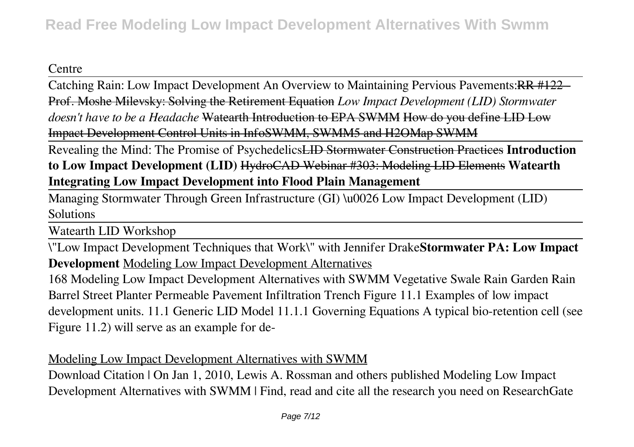# Centre

Catching Rain: Low Impact Development An Overview to Maintaining Pervious Pavements:RR #122 - Prof. Moshe Milevsky: Solving the Retirement Equation *Low Impact Development (LID) Stormwater doesn't have to be a Headache* Watearth Introduction to EPA SWMM How do you define LID Low Impact Development Control Units in InfoSWMM, SWMM5 and H2OMap SWMM

Revealing the Mind: The Promise of PsychedelicsLID Stormwater Construction Practices **Introduction to Low Impact Development (LID)** HydroCAD Webinar #303: Modeling LID Elements **Watearth Integrating Low Impact Development into Flood Plain Management**

Managing Stormwater Through Green Infrastructure (GI) \u0026 Low Impact Development (LID) **Solutions** 

Watearth LID Workshop

\"Low Impact Development Techniques that Work\" with Jennifer Drake**Stormwater PA: Low Impact Development** Modeling Low Impact Development Alternatives

168 Modeling Low Impact Development Alternatives with SWMM Vegetative Swale Rain Garden Rain Barrel Street Planter Permeable Pavement Infiltration Trench Figure 11.1 Examples of low impact development units. 11.1 Generic LID Model 11.1.1 Governing Equations A typical bio-retention cell (see Figure 11.2) will serve as an example for de-

# Modeling Low Impact Development Alternatives with SWMM

Download Citation | On Jan 1, 2010, Lewis A. Rossman and others published Modeling Low Impact Development Alternatives with SWMM | Find, read and cite all the research you need on ResearchGate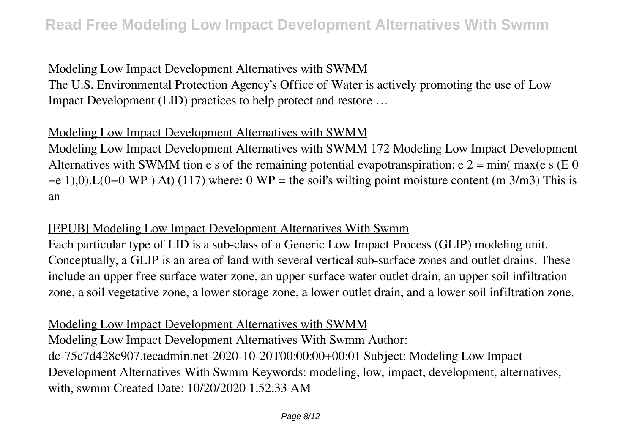# Modeling Low Impact Development Alternatives with SWMM

The U.S. Environmental Protection Agency's Office of Water is actively promoting the use of Low Impact Development (LID) practices to help protect and restore …

# Modeling Low Impact Development Alternatives with SWMM

Modeling Low Impact Development Alternatives with SWMM 172 Modeling Low Impact Development Alternatives with SWMM tion e s of the remaining potential evapotranspiration:  $e = 2 = \min(\max(e \mid s \in 0))$  $-e$  1),0),L( $\theta$ - $\theta$  WP)  $\Delta t$ ) (117) where:  $\theta$  WP = the soil's wilting point moisture content (m 3/m3) This is an

## [EPUB] Modeling Low Impact Development Alternatives With Swmm

Each particular type of LID is a sub-class of a Generic Low Impact Process (GLIP) modeling unit. Conceptually, a GLIP is an area of land with several vertical sub-surface zones and outlet drains. These include an upper free surface water zone, an upper surface water outlet drain, an upper soil infiltration zone, a soil vegetative zone, a lower storage zone, a lower outlet drain, and a lower soil infiltration zone.

# Modeling Low Impact Development Alternatives with SWMM

Modeling Low Impact Development Alternatives With Swmm Author: dc-75c7d428c907.tecadmin.net-2020-10-20T00:00:00+00:01 Subject: Modeling Low Impact Development Alternatives With Swmm Keywords: modeling, low, impact, development, alternatives, with, swmm Created Date: 10/20/2020 1:52:33 AM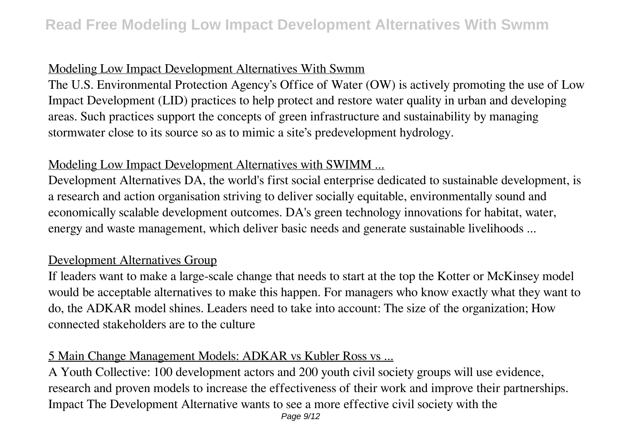# Modeling Low Impact Development Alternatives With Swmm

The U.S. Environmental Protection Agency's Office of Water (OW) is actively promoting the use of Low Impact Development (LID) practices to help protect and restore water quality in urban and developing areas. Such practices support the concepts of green infrastructure and sustainability by managing stormwater close to its source so as to mimic a site's predevelopment hydrology.

## Modeling Low Impact Development Alternatives with SWIMM ...

Development Alternatives DA, the world's first social enterprise dedicated to sustainable development, is a research and action organisation striving to deliver socially equitable, environmentally sound and economically scalable development outcomes. DA's green technology innovations for habitat, water, energy and waste management, which deliver basic needs and generate sustainable livelihoods ...

# Development Alternatives Group

If leaders want to make a large-scale change that needs to start at the top the Kotter or McKinsey model would be acceptable alternatives to make this happen. For managers who know exactly what they want to do, the ADKAR model shines. Leaders need to take into account: The size of the organization; How connected stakeholders are to the culture

# 5 Main Change Management Models: ADKAR vs Kubler Ross vs ...

A Youth Collective: 100 development actors and 200 youth civil society groups will use evidence, research and proven models to increase the effectiveness of their work and improve their partnerships. Impact The Development Alternative wants to see a more effective civil society with the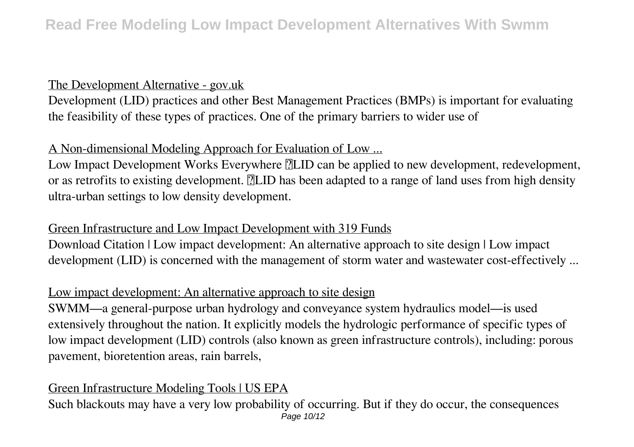#### The Development Alternative - gov.uk

Development (LID) practices and other Best Management Practices (BMPs) is important for evaluating the feasibility of these types of practices. One of the primary barriers to wider use of

# A Non-dimensional Modeling Approach for Evaluation of Low ...

Low Impact Development Works Everywhere **ILID** can be applied to new development, redevelopment, or as retrofits to existing development. **ILID** has been adapted to a range of land uses from high density ultra-urban settings to low density development.

# Green Infrastructure and Low Impact Development with 319 Funds

Download Citation | Low impact development: An alternative approach to site design | Low impact development (LID) is concerned with the management of storm water and wastewater cost-effectively ...

# Low impact development: An alternative approach to site design

SWMM—a general-purpose urban hydrology and conveyance system hydraulics model—is used extensively throughout the nation. It explicitly models the hydrologic performance of specific types of low impact development (LID) controls (also known as green infrastructure controls), including: porous pavement, bioretention areas, rain barrels,

# Green Infrastructure Modeling Tools | US EPA

Such blackouts may have a very low probability of occurring. But if they do occur, the consequences Page 10/12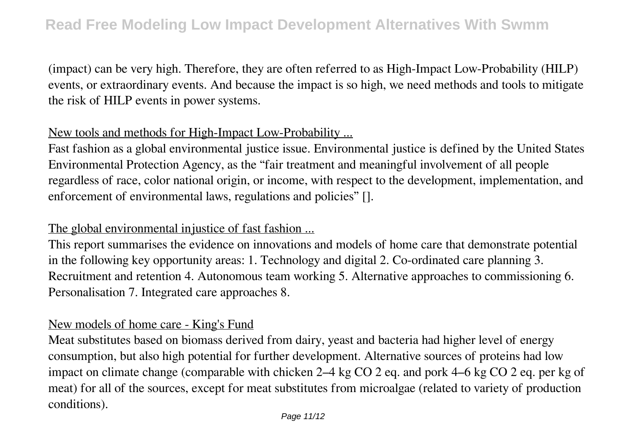(impact) can be very high. Therefore, they are often referred to as High-Impact Low-Probability (HILP) events, or extraordinary events. And because the impact is so high, we need methods and tools to mitigate the risk of HILP events in power systems.

#### New tools and methods for High-Impact Low-Probability ...

Fast fashion as a global environmental justice issue. Environmental justice is defined by the United States Environmental Protection Agency, as the "fair treatment and meaningful involvement of all people regardless of race, color national origin, or income, with respect to the development, implementation, and enforcement of environmental laws, regulations and policies" [].

#### The global environmental injustice of fast fashion ...

This report summarises the evidence on innovations and models of home care that demonstrate potential in the following key opportunity areas: 1. Technology and digital 2. Co-ordinated care planning 3. Recruitment and retention 4. Autonomous team working 5. Alternative approaches to commissioning 6. Personalisation 7. Integrated care approaches 8.

#### New models of home care - King's Fund

Meat substitutes based on biomass derived from dairy, yeast and bacteria had higher level of energy consumption, but also high potential for further development. Alternative sources of proteins had low impact on climate change (comparable with chicken 2–4 kg CO 2 eq. and pork 4–6 kg CO 2 eq. per kg of meat) for all of the sources, except for meat substitutes from microalgae (related to variety of production conditions).